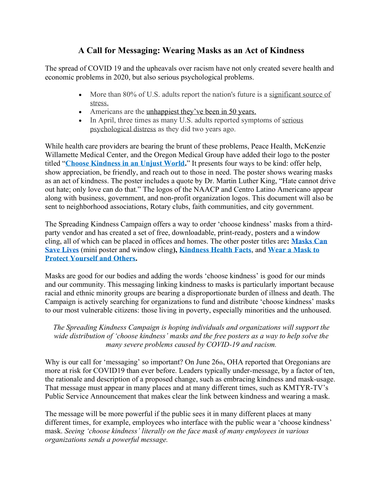### **A Call for Messaging: Wearing Masks as an Act of Kindness**

The spread of COVID 19 and the upheavals over racism have not only created severe health and economic problems in 2020, but also serious psychological problems.

- More than 80% of U.S. adults report the nation's future is a significant source of [stress.](https://www.apa.org/news/press/releases/stress/2020/report-june)
- Americans are the [unhappiest they've been in 50 years](https://www.usatoday.com/story/news/nation/2020/06/16/amid-bad-news-2020-americans-unhappier-more-lonely-poll-shows/3197440001/).
- In April, three times as many U.S. adults reported symptoms of serious [psychological distress](https://jamanetwork.com/journals/jama/fullarticle/2766941) as they did two years ago.

While health care providers are bearing the brunt of these problems, Peace Health, McKenzie Willamette Medical Center, and the Oregon Medical Group have added their logo to the poster titled "**[Choose Kindness in an Unjust World.](https://drive.google.com/file/d/1O15kM1A6soNNGLNU2Z-ISMq7HrvTj-re/view?usp=sharing)**" It presents four ways to be kind: offer help, show appreciation, be friendly, and reach out to those in need. The poster shows wearing masks as an act of kindness. The poster includes a quote by Dr. Martin Luther King, "Hate cannot drive out hate; only love can do that." The logos of the NAACP and Centro Latino Americano appear along with business, government, and non-profit organization logos. This document will also be sent to neighborhood associations, Rotary clubs, faith communities, and city government.

The Spreading Kindness Campaign offers a way to order 'choose kindness' masks from a thirdparty vendor and has created a set of free, downloadable, print-ready, posters and a window cling, all of which can be placed in offices and homes. The other poster titles are**: [Masks Can](https://drive.google.com/file/d/1XZjI0bj6SUDQMzbSQds1XSEffg36ozuO/view?usp=sharing)  [Save Lives](https://drive.google.com/file/d/1XZjI0bj6SUDQMzbSQds1XSEffg36ozuO/view?usp=sharing)** (mini poster and window cling**), [Kindness Health Facts](https://drive.google.com/file/d/1VjRPWu9E1G6aMo_Uwi5zk0_NVYPjRMZN/view?usp=sharing)**, and **[Wear a Mask to](https://drive.google.com/file/d/1wxyhkyoYFY8if3kKQ4vjgwo8hDBDynkk/view?usp=sharing)  [Protect Yourself and Others.](https://drive.google.com/file/d/1wxyhkyoYFY8if3kKQ4vjgwo8hDBDynkk/view?usp=sharing)**

Masks are good for our bodies and adding the words 'choose kindness' is good for our minds and our community. This messaging linking kindness to masks is particularly important because racial and ethnic minority groups are bearing a disproportionate burden of illness and death. The Campaign is actively searching for organizations to fund and distribute 'choose kindness' masks to our most vulnerable citizens: those living in poverty, especially minorities and the unhoused.

#### *The Spreading Kindness Campaign is hoping individuals and organizations will support the wide distribution of 'choose kindness' masks and the free posters as a way to help solve the many severe problems caused by COVID-19 and racism.*

Why is our call for 'messaging' so important? On June 26th, OHA reported that Oregonians are more at risk for COVID19 than ever before. Leaders typically under-message, by a factor of ten, the rationale and description of a proposed change, such as embracing kindness and mask-usage. That message must appear in many places and at many different times, such as KMTYR-TV's Public Service Announcement that makes clear the link between kindness and wearing a mask.

The message will be more powerful if the public sees it in many different places at many different times, for example, employees who interface with the public wear a 'choose kindness' mask. *Seeing 'choose kindness' literally on the face mask of many employees in various organizations sends a powerful message.*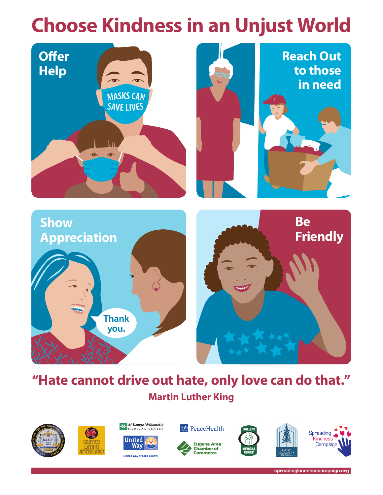# **Choose Kindness in an Unjust World**



# **"Hate cannot drive out hate, only love can do that." Martin Luther King**







McKenzie-Willamette

**United Way of Lane County** 









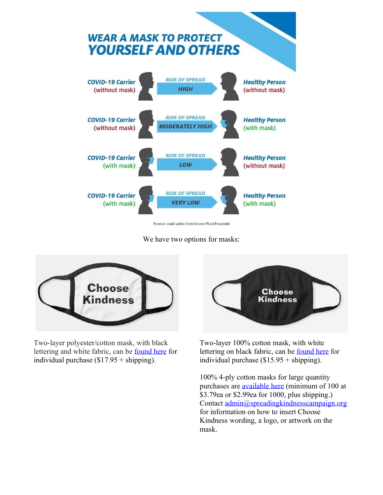

From an email update from Senator Floyd Brzezinski

We have two options for masks:



Two-layer polyester/cotton mask, with black lettering and white fabric, can be [found here](https://www.zazzle.com/choose_kindness_cotton_poly_blend_facemask_face_mask-256069973651581335) for individual purchase  $(\$17.95 + shipping)$ .



Two-layer 100% cotton mask, with white lettering on black fabric, can be [found here](https://www.zazzle.com/choose_kindness_cotton_face_mask-256109515374051590) for individual purchase (\$15.95 + shipping).

100% 4-ply cotton masks for large quantity purchases are [available here](https://www.4imprint.com/product/158533/Reusable-Cotton-Face-Mask) (minimum of 100 at \$3.79ea or \$2.99ea for 1000, plus shipping.) Contact [admin@spreadingkindnesscampaign.org](mailto:admin@spreadingkindnesscampaign.org) for information on how to insert Choose Kindness wording, a logo, or artwork on the mask.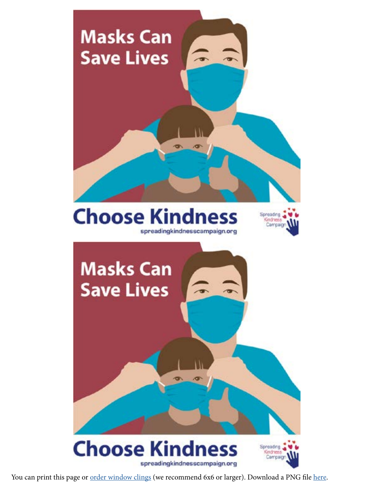

You can print this page or **order window clings** (we recommend 6x6 or larger). Download a PNG file [here.](https://drive.google.com/file/d/1XZjI0bj6SUDQMzbSQds1XSEffg36ozuO/view?usp=sharing)